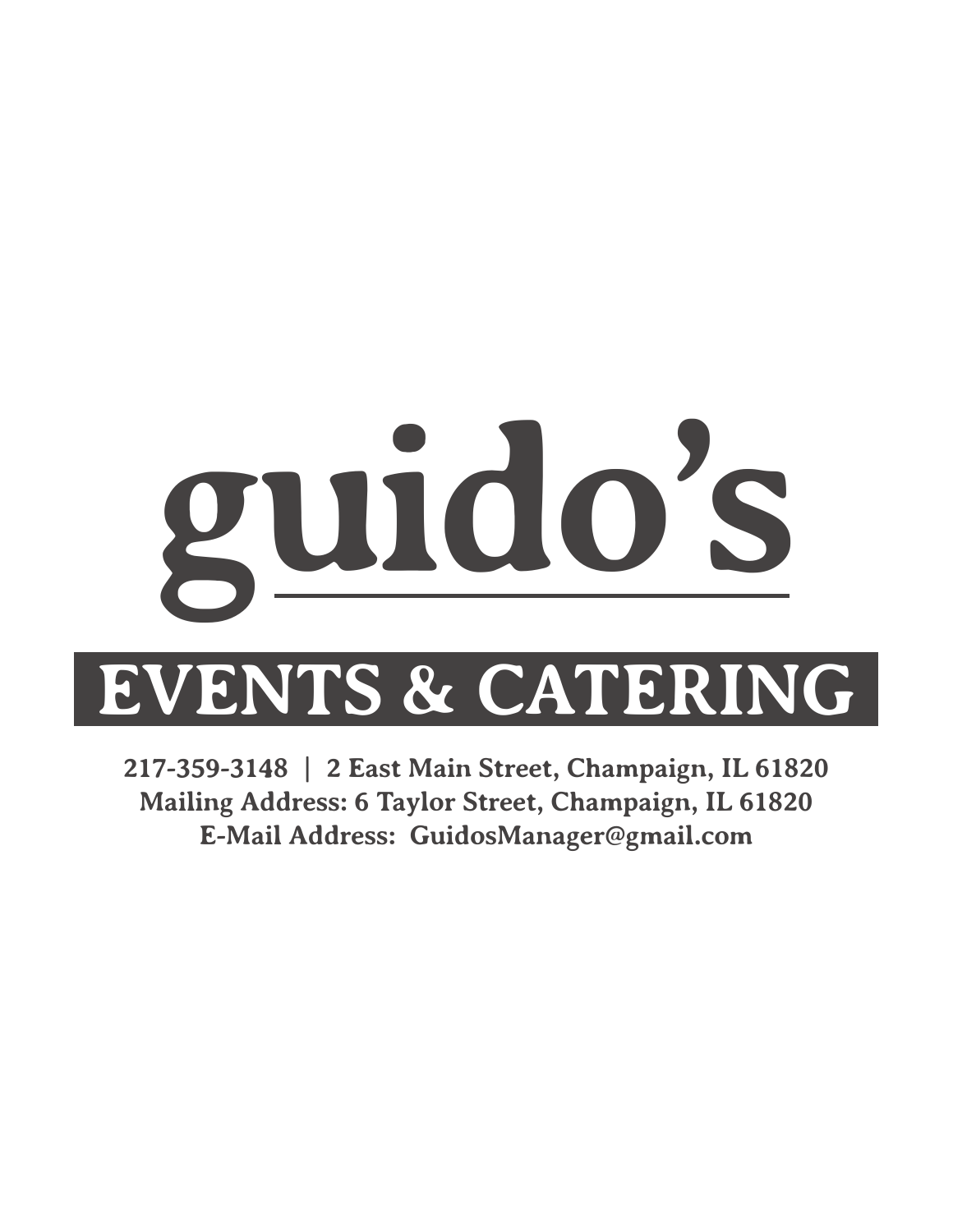# **guido's**

# **EVENTS & CATERING**

**217-359-3148 | 2 East Main Street, Champaign, IL 61820 Mailing Address: 6 Taylor Street, Champaign, IL 61820 E-Mail Address: GuidosManager@gmail.com**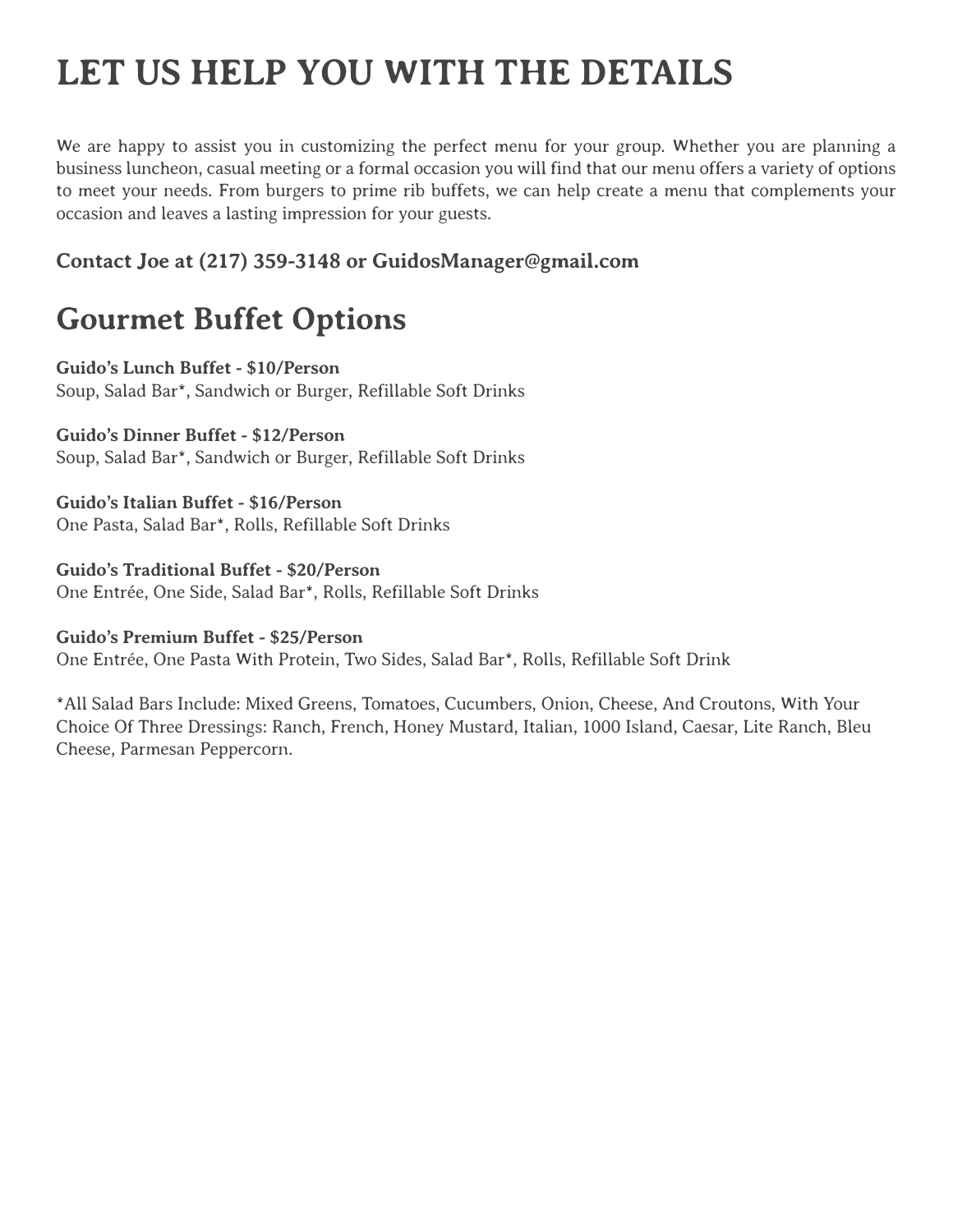# **LET US HELP YOU WITH THE DETAILS**

We are happy to assist you in customizing the perfect menu for your group. Whether you are planning a business luncheon, casual meeting or a formal occasion you will find that our menu offers a variety of options to meet your needs. From burgers to prime rib buffets, we can help create a menu that complements your occasion and leaves a lasting impression for your guests.

# **Contact Joe at (217) 359-3148 or GuidosManager@gmail.com**

# **Gourmet Buffet Options**

**Guido's Lunch Buffet - \$10/Person**  Soup, Salad Bar\*, Sandwich or Burger, Refillable Soft Drinks

**Guido's Dinner Buffet - \$12/Person**  Soup, Salad Bar\*, Sandwich or Burger, Refillable Soft Drinks

**Guido's Italian Buffet - \$16/Person** One Pasta, Salad Bar\*, Rolls, Refillable Soft Drinks

**Guido's Traditional Buffet - \$20/Person** One Entrée, One Side, Salad Bar\*, Rolls, Refillable Soft Drinks

**Guido's Premium Buffet - \$25/Person** One Entrée, One Pasta With Protein, Two Sides, Salad Bar\*, Rolls, Refillable Soft Drink

\*All Salad Bars Include: Mixed Greens, Tomatoes, Cucumbers, Onion, Cheese, And Croutons, With Your Choice Of Three Dressings: Ranch, French, Honey Mustard, Italian, 1000 Island, Caesar, Lite Ranch, Bleu Cheese, Parmesan Peppercorn.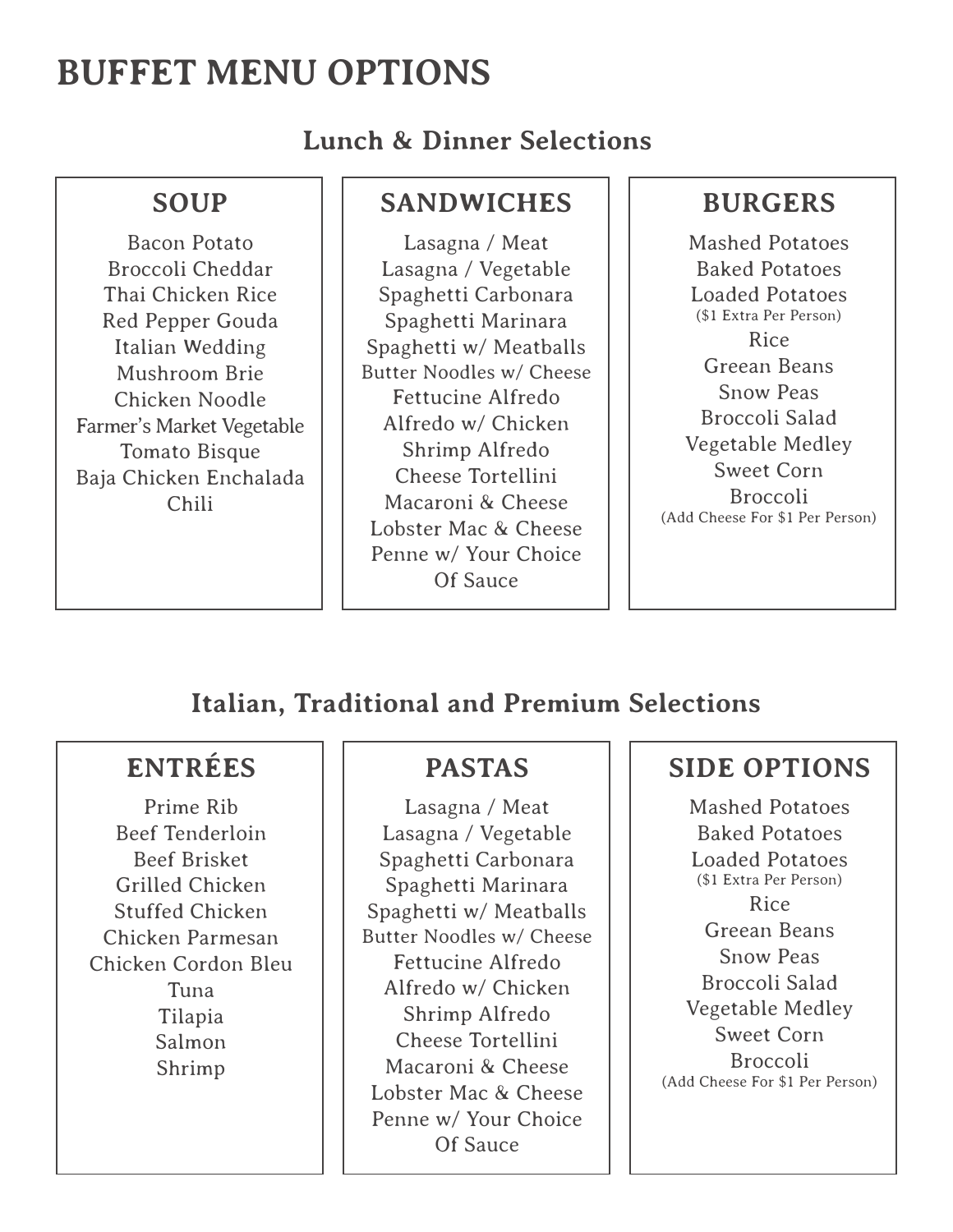# **BUFFET MENU OPTIONS**

**Lunch & Dinner Selections**

# **SOUP**

Bacon Potato Broccoli Cheddar Thai Chicken Rice Red Pepper Gouda Italian Wedding Mushroom Brie Chicken Noodle Farmer's Market Vegetable Tomato Bisque Baja Chicken Enchalada Chili

# **SANDWICHES**

Lasagna / Meat Lasagna / Vegetable Spaghetti Carbonara Spaghetti Marinara Spaghetti w/ Meatballs Butter Noodles w/ Cheese Fettucine Alfredo Alfredo w/ Chicken Shrimp Alfredo Cheese Tortellini Macaroni & Cheese Lobster Mac & Cheese Penne w/ Your Choice Of Sauce

# **BURGERS**

Mashed Potatoes Baked Potatoes Loaded Potatoes (\$1 Extra Per Person) Rice Greean Beans Snow Peas Broccoli Salad Vegetable Medley Sweet Corn Broccoli (Add Cheese For \$1 Per Person)

# **Italian, Traditional and Premium Selections**

# **ENTRÉES**

Prime Rib Beef Tenderloin Beef Brisket Grilled Chicken Stuffed Chicken Chicken Parmesan Chicken Cordon Bleu Tuna Tilapia Salmon Shrimp

# **PASTAS**

Lasagna / Meat Lasagna / Vegetable Spaghetti Carbonara Spaghetti Marinara Spaghetti w/ Meatballs Butter Noodles w/ Cheese Fettucine Alfredo Alfredo w/ Chicken Shrimp Alfredo Cheese Tortellini Macaroni & Cheese Lobster Mac & Cheese Penne w/ Your Choice Of Sauce

# **SIDE OPTIONS**

Mashed Potatoes Baked Potatoes Loaded Potatoes (\$1 Extra Per Person) Rice Greean Beans Snow Peas Broccoli Salad Vegetable Medley Sweet Corn Broccoli (Add Cheese For \$1 Per Person)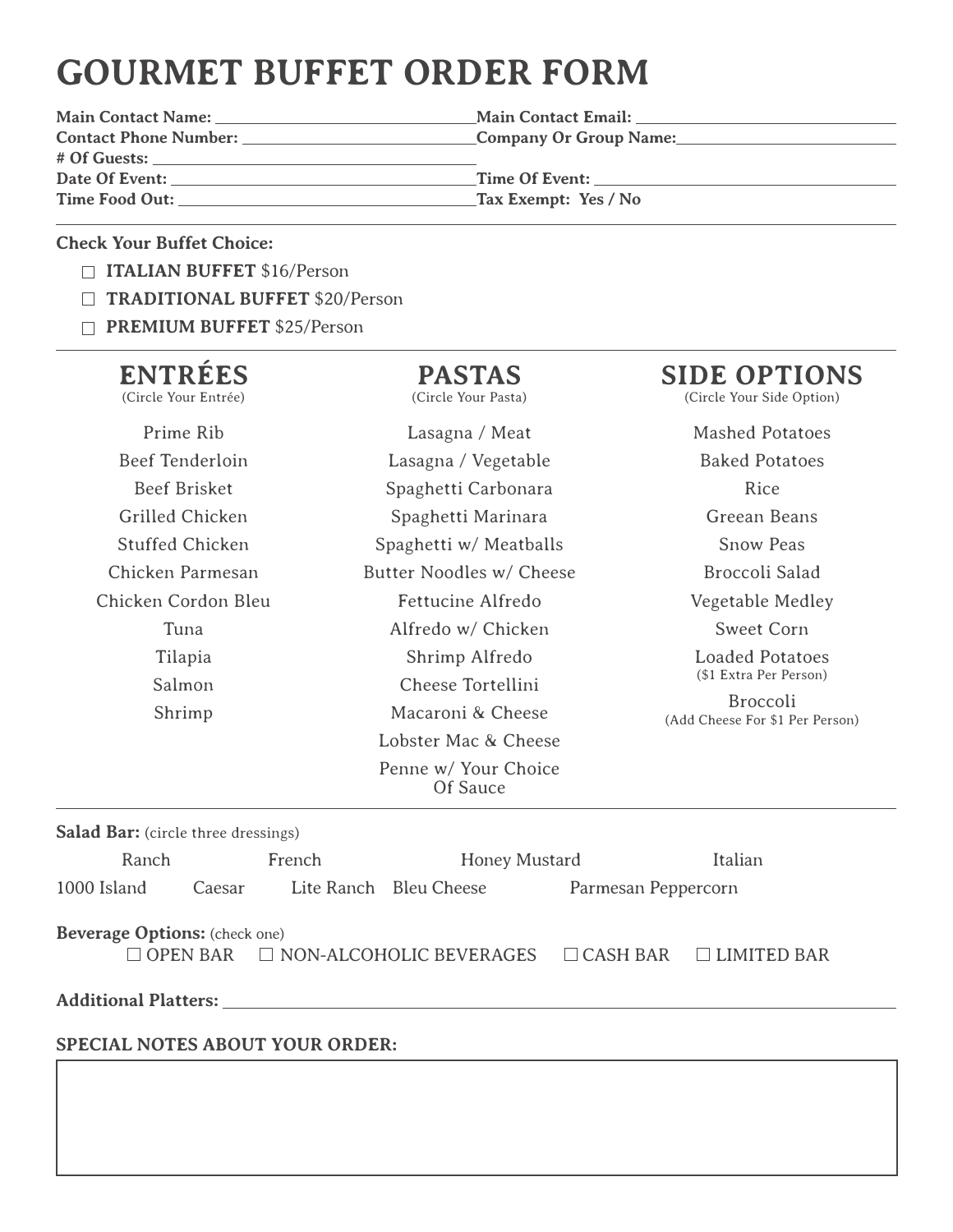# **GOURMET BUFFET ORDER FORM**

**# Of Guests:**  Date Of Event: Time Of Event: **Time Food Out: Tax Exempt: Yes / No**

**Main Contact Name: Main Contact Email: Contact Phone Number: Company Or Group Name:**

### **Check Your Buffet Choice:**

- **ITALIAN BUFFET** \$16/Person
- **TRADITIONAL BUFFET** \$20/Person
- **PREMIUM BUFFET** \$25/Person

# **ENTRÉES**

(Circle Your Entrée)

# Prime Rib Beef Tenderloin Beef Brisket Grilled Chicken Stuffed Chicken Chicken Parmesan Chicken Cordon Bleu Tuna Tilapia Salmon Shrimp

**PASTAS** (Circle Your Pasta)

Lasagna / Meat Lasagna / Vegetable Spaghetti Carbonara Spaghetti Marinara Spaghetti w/ Meatballs Butter Noodles w/ Cheese Fettucine Alfredo Alfredo w/ Chicken Shrimp Alfredo Cheese Tortellini Macaroni & Cheese Lobster Mac & Cheese Penne w/ Your Choice Of Sauce

# **SIDE OPTIONS**

(Circle Your Side Option)

Mashed Potatoes

Baked Potatoes Rice Greean Beans Snow Peas Broccoli Salad Vegetable Medley Sweet Corn Loaded Potatoes (\$1 Extra Per Person)

Broccoli (Add Cheese For \$1 Per Person)

| <b>Salad Bar:</b> (circle three dressings)                                                                                |        |        |                        |                     |         |  |
|---------------------------------------------------------------------------------------------------------------------------|--------|--------|------------------------|---------------------|---------|--|
| Ranch                                                                                                                     |        | French | <b>Honey Mustard</b>   |                     | Italian |  |
| 1000 Island                                                                                                               | Caesar |        | Lite Ranch Bleu Cheese | Parmesan Peppercorn |         |  |
| <b>Beverage Options:</b> (check one)<br>$\Box$ OPEN BAR $\Box$ NON-ALCOHOLIC BEVERAGES $\Box$ CASH BAR $\Box$ LIMITED BAR |        |        |                        |                     |         |  |
| <b>Additional Platters:</b>                                                                                               |        |        |                        |                     |         |  |
|                                                                                                                           |        |        |                        |                     |         |  |

# **SPECIAL NOTES ABOUT YOUR ORDER:**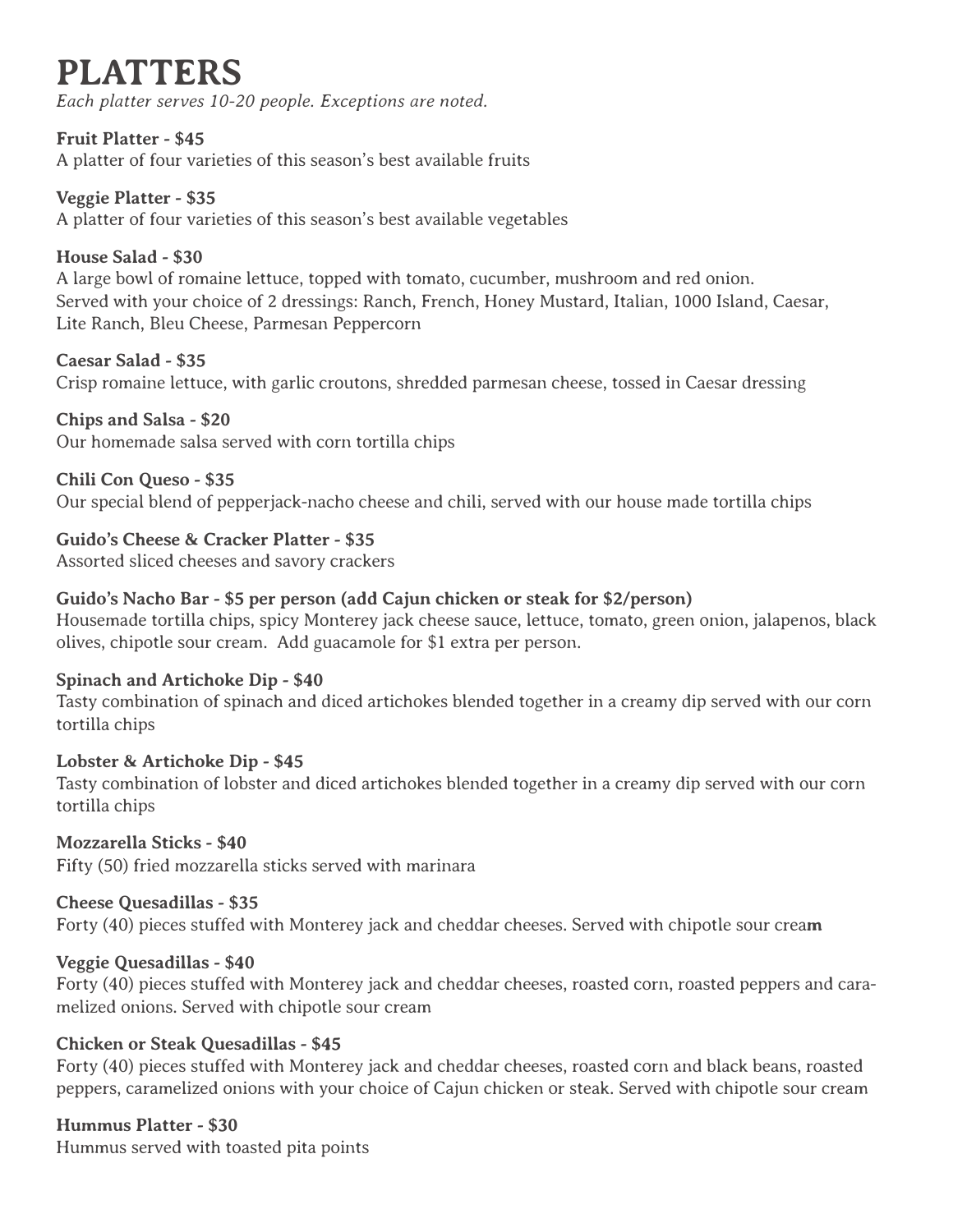# **PLATTERS**

*Each platter serves 10-20 people. Exceptions are noted.*

**Fruit Platter - \$45** A platter of four varieties of this season's best available fruits

**Veggie Platter - \$35** A platter of four varieties of this season's best available vegetables

**House Salad - \$30**

A large bowl of romaine lettuce, topped with tomato, cucumber, mushroom and red onion. Served with your choice of 2 dressings: Ranch, French, Honey Mustard, Italian, 1000 Island, Caesar, Lite Ranch, Bleu Cheese, Parmesan Peppercorn

**Caesar Salad - \$35**

Crisp romaine lettuce, with garlic croutons, shredded parmesan cheese, tossed in Caesar dressing

**Chips and Salsa - \$20** Our homemade salsa served with corn tortilla chips

**Chili Con Queso - \$35** Our special blend of pepperjack-nacho cheese and chili, served with our house made tortilla chips

**Guido's Cheese & Cracker Platter - \$35** Assorted sliced cheeses and savory crackers

# **Guido's Nacho Bar - \$5 per person (add Cajun chicken or steak for \$2/person)**

Housemade tortilla chips, spicy Monterey jack cheese sauce, lettuce, tomato, green onion, jalapenos, black olives, chipotle sour cream. Add guacamole for \$1 extra per person.

# **Spinach and Artichoke Dip - \$40**

Tasty combination of spinach and diced artichokes blended together in a creamy dip served with our corn tortilla chips

# **Lobster & Artichoke Dip - \$45**

Tasty combination of lobster and diced artichokes blended together in a creamy dip served with our corn tortilla chips

**Mozzarella Sticks - \$40** Fifty (50) fried mozzarella sticks served with marinara

# **Cheese Quesadillas - \$35**

Forty (40) pieces stuffed with Monterey jack and cheddar cheeses. Served with chipotle sour crea**m**

# **Veggie Quesadillas - \$40**

Forty (40) pieces stuffed with Monterey jack and cheddar cheeses, roasted corn, roasted peppers and caramelized onions. Served with chipotle sour cream

# **Chicken or Steak Quesadillas - \$45**

Forty (40) pieces stuffed with Monterey jack and cheddar cheeses, roasted corn and black beans, roasted peppers, caramelized onions with your choice of Cajun chicken or steak. Served with chipotle sour cream

# **Hummus Platter - \$30**

Hummus served with toasted pita points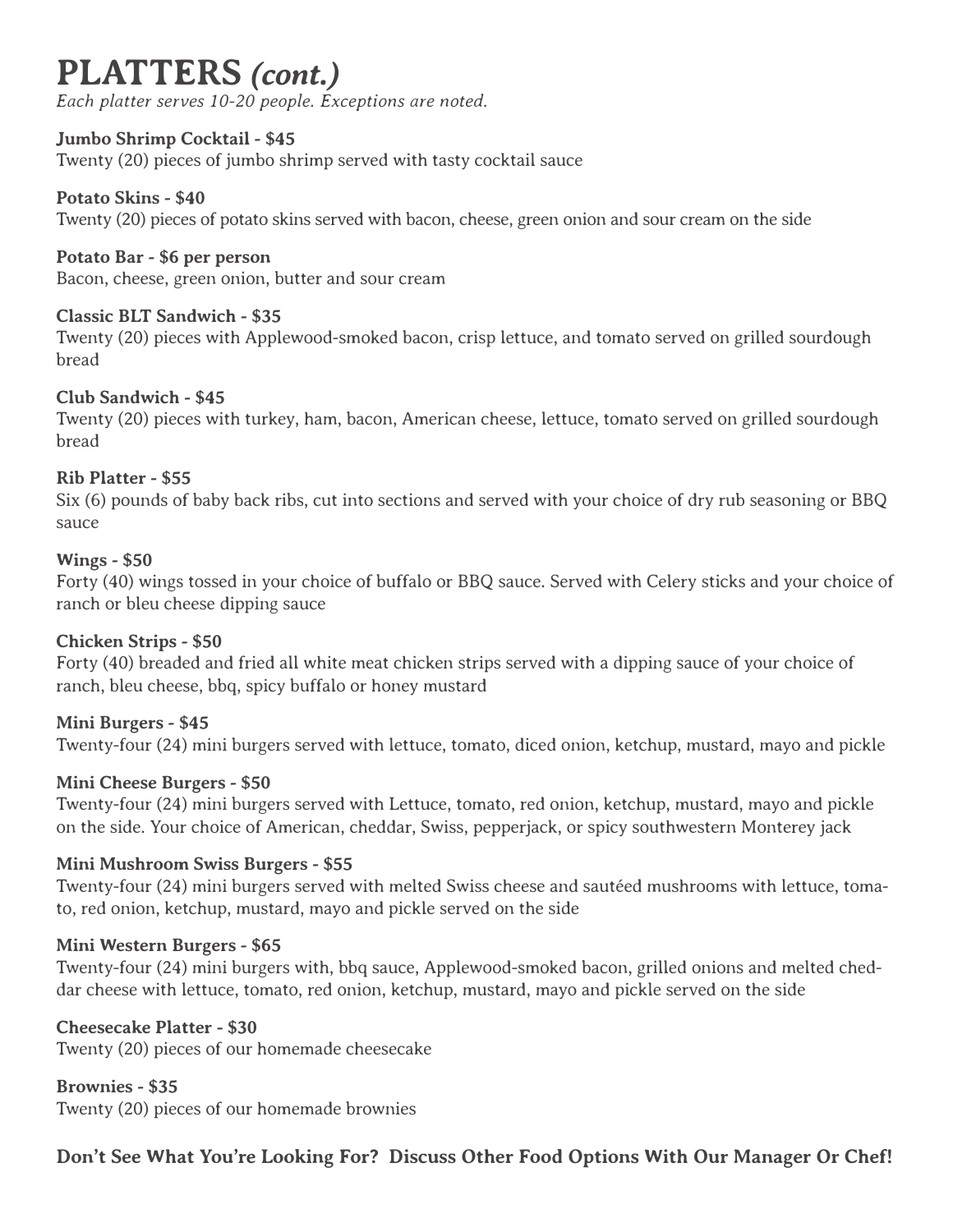# **PLATTERS** *(cont.)*

*Each platter serves 10-20 people. Exceptions are noted.*

# **Jumbo Shrimp Cocktail - \$45**

Twenty (20) pieces of jumbo shrimp served with tasty cocktail sauce

# **Potato Skins - \$40**

Twenty (20) pieces of potato skins served with bacon, cheese, green onion and sour cream on the side

# **Potato Bar - \$6 per person**

Bacon, cheese, green onion, butter and sour cream

# **Classic BLT Sandwich - \$35**

Twenty (20) pieces with Applewood-smoked bacon, crisp lettuce, and tomato served on grilled sourdough bread

# **Club Sandwich - \$45**

Twenty (20) pieces with turkey, ham, bacon, American cheese, lettuce, tomato served on grilled sourdough bread

# **Rib Platter - \$55**

Six (6) pounds of baby back ribs, cut into sections and served with your choice of dry rub seasoning or BBQ sauce

# **Wings - \$50**

Forty (40) wings tossed in your choice of buffalo or BBQ sauce. Served with Celery sticks and your choice of ranch or bleu cheese dipping sauce

# **Chicken Strips - \$50**

Forty (40) breaded and fried all white meat chicken strips served with a dipping sauce of your choice of ranch, bleu cheese, bbq, spicy buffalo or honey mustard

# **Mini Burgers - \$45**

Twenty-four (24) mini burgers served with lettuce, tomato, diced onion, ketchup, mustard, mayo and pickle

# **Mini Cheese Burgers - \$50**

Twenty-four (24) mini burgers served with Lettuce, tomato, red onion, ketchup, mustard, mayo and pickle on the side. Your choice of American, cheddar, Swiss, pepperjack, or spicy southwestern Monterey jack

# **Mini Mushroom Swiss Burgers - \$55**

Twenty-four (24) mini burgers served with melted Swiss cheese and sautéed mushrooms with lettuce, tomato, red onion, ketchup, mustard, mayo and pickle served on the side

# **Mini Western Burgers - \$65**

Twenty-four (24) mini burgers with, bbq sauce, Applewood-smoked bacon, grilled onions and melted cheddar cheese with lettuce, tomato, red onion, ketchup, mustard, mayo and pickle served on the side

# **Cheesecake Platter - \$30**

Twenty (20) pieces of our homemade cheesecake

**Brownies - \$35** Twenty (20) pieces of our homemade brownies

**Don't See What You're Looking For? Discuss Other Food Options With Our Manager Or Chef!**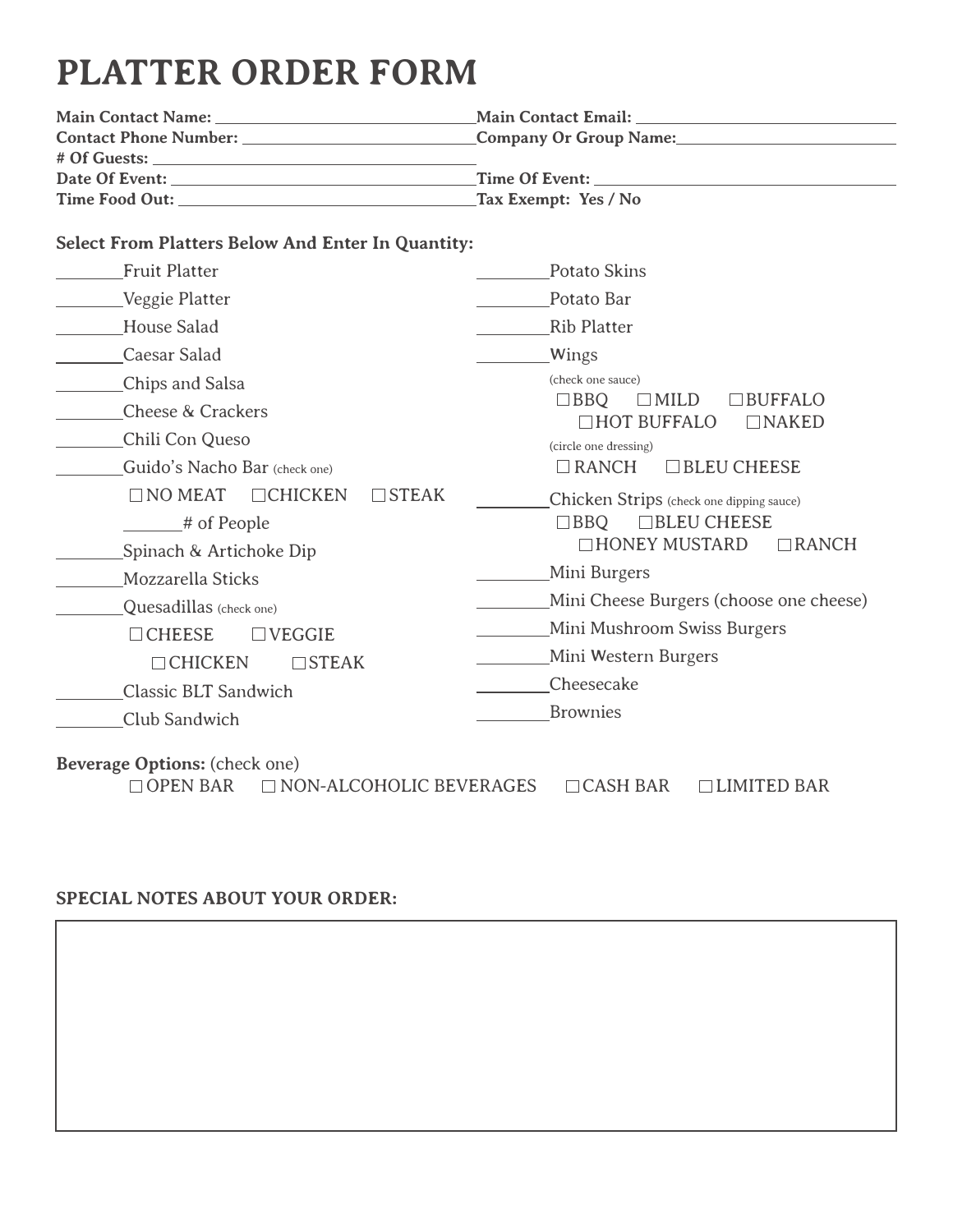# **PLATTER ORDER FORM**

| <b>Main Contact Name:</b>    | <b>Main Contact Email:</b>    |  |
|------------------------------|-------------------------------|--|
| <b>Contact Phone Number:</b> | <b>Company Or Group Name:</b> |  |
| # Of Guests:                 |                               |  |
| Date Of Event:               | Time Of Event:                |  |
| Time Food Out:               | Tax Exempt: Yes / No          |  |

# **Select From Platters Below And Enter In Quantity:**

| <b>Fruit Platter</b>                                                               | Potato Skins                                                                                                                    |  |  |
|------------------------------------------------------------------------------------|---------------------------------------------------------------------------------------------------------------------------------|--|--|
| Veggie Platter                                                                     | Potato Bar                                                                                                                      |  |  |
| House Salad                                                                        | <b>Rib Platter</b>                                                                                                              |  |  |
| Caesar Salad                                                                       | Wings                                                                                                                           |  |  |
| Chips and Salsa                                                                    | (check one sauce)                                                                                                               |  |  |
| <b>Cheese &amp; Crackers</b>                                                       | $\Box$ BBQ<br><b>BUFFALO</b><br><b>MILD</b><br><b>HOT BUFFALO</b><br>$\Box$ NAKED                                               |  |  |
| Chili Con Queso                                                                    | (circle one dressing)                                                                                                           |  |  |
| Guido's Nacho Bar (check one)                                                      | BLEU CHEESE<br>$\Box$ RANCH                                                                                                     |  |  |
| $\Box$ NO MEAT<br>$\Box$ CHICKEN<br>$\Box$ STEAK                                   | Chicken Strips (check one dipping sauce)                                                                                        |  |  |
| # of People                                                                        | □BLEU CHEESE<br>$\Box$ BBO<br>□HONEY MUSTARD<br>$\Box$ RANCH                                                                    |  |  |
| Spinach & Artichoke Dip                                                            |                                                                                                                                 |  |  |
| Mozzarella Sticks                                                                  | Mini Burgers                                                                                                                    |  |  |
| Quesadillas (check one)                                                            | Mini Cheese Burgers (choose one cheese)<br>Mini Mushroom Swiss Burgers<br>Mini Western Burgers<br>Cheesecake<br><b>Brownies</b> |  |  |
| $\Box$ CHEESE<br>$\exists$ VEGGIE                                                  |                                                                                                                                 |  |  |
| $\Box$ CHICKEN<br><b>STEAK</b>                                                     |                                                                                                                                 |  |  |
| <b>Classic BLT Sandwich</b>                                                        |                                                                                                                                 |  |  |
| Club Sandwich                                                                      |                                                                                                                                 |  |  |
| Beverage Options: (check one)<br>$\Box$ OPEN BAR<br>$\Box$ NON-ALCOHOLIC BEVERAGES | $\Box$ CASH BAR<br>$\Box$ LIMITED BAR                                                                                           |  |  |

# **SPECIAL NOTES ABOUT YOUR ORDER:**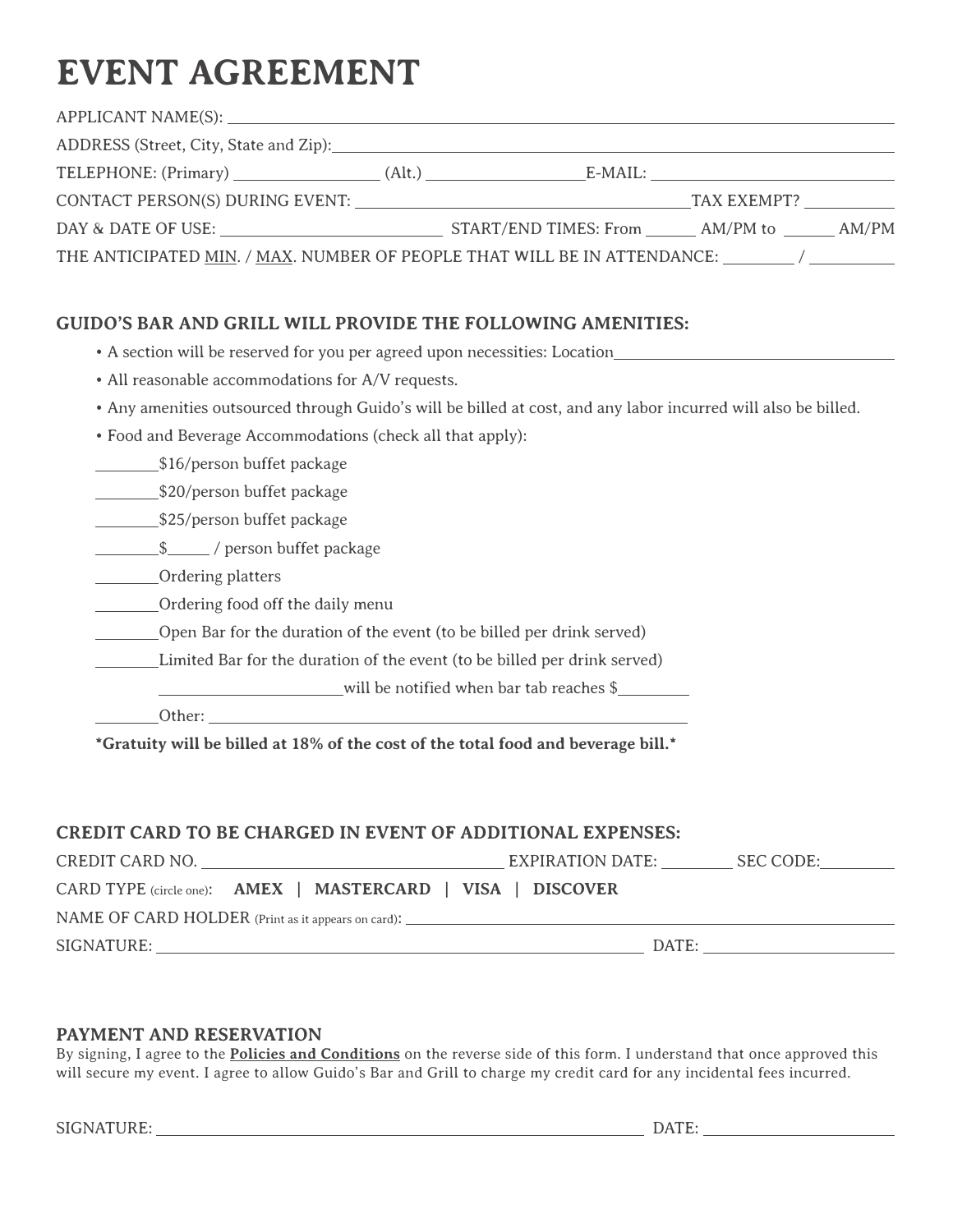# **EVENT AGREEMENT**

| THE ANTICIPATED MIN. / MAX. NUMBER OF PEOPLE THAT WILL BE IN ATTENDANCE: ________ / __________ |  |  |
|------------------------------------------------------------------------------------------------|--|--|

# **GUIDO'S BAR AND GRILL WILL PROVIDE THE FOLLOWING AMENITIES:**

|  |  |  |  | • A section will be reserved for you per agreed upon necessities: Location_ |  |
|--|--|--|--|-----------------------------------------------------------------------------|--|
|--|--|--|--|-----------------------------------------------------------------------------|--|

- All reasonable accommodations for A/V requests.
- Any amenities outsourced through Guido's will be billed at cost, and any labor incurred will also be billed.
- Food and Beverage Accommodations (check all that apply):

**\$16/person buffet package** 

\$20/person buffet package

525/person buffet package

**\$** / person buffet package

**Ordering platters** 

**CORDITE:** Ordering food off the daily menu

Open Bar for the duration of the event (to be billed per drink served)

Limited Bar for the duration of the event (to be billed per drink served)

will be notified when bar tab reaches \$

Other:

**\*Gratuity will be billed at 18% of the cost of the total food and beverage bill.\***

### **CREDIT CARD TO BE CHARGED IN EVENT OF ADDITIONAL EXPENSES:**

| CREDIT CARD NO.                                      |                                                             | EXPIRATION DATE: | SEC CODE: |  |  |  |
|------------------------------------------------------|-------------------------------------------------------------|------------------|-----------|--|--|--|
|                                                      | CARD TYPE (circle one): AMEX   MASTERCARD   VISA   DISCOVER |                  |           |  |  |  |
| $NAME OF CARD HOLDER (Print as it appears on card):$ |                                                             |                  |           |  |  |  |
| SIGNATURE:                                           |                                                             |                  | DATE:     |  |  |  |

### **PAYMENT AND RESERVATION**

By signing, I agree to the **Policies and Conditions** on the reverse side of this form. I understand that once approved this will secure my event. I agree to allow Guido's Bar and Grill to charge my credit card for any incidental fees incurred.

SIGNATURE: DATE: